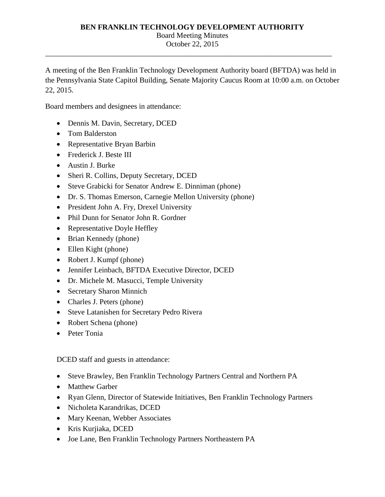# **BEN FRANKLIN TECHNOLOGY DEVELOPMENT AUTHORITY**

Board Meeting Minutes

October 22, 2015 \_\_\_\_\_\_\_\_\_\_\_\_\_\_\_\_\_\_\_\_\_\_\_\_\_\_\_\_\_\_\_\_\_\_\_\_\_\_\_\_\_\_\_\_\_\_\_\_\_\_\_\_\_\_\_\_\_\_\_\_\_\_\_\_\_\_\_\_\_\_\_\_\_\_\_\_

A meeting of the Ben Franklin Technology Development Authority board (BFTDA) was held in the Pennsylvania State Capitol Building, Senate Majority Caucus Room at 10:00 a.m. on October 22, 2015.

Board members and designees in attendance:

- Dennis M. Davin, Secretary, DCED
- Tom Balderston
- Representative Bryan Barbin
- Frederick J. Beste III
- Austin J. Burke
- Sheri R. Collins, Deputy Secretary, DCED
- Steve Grabicki for Senator Andrew E. Dinniman (phone)
- Dr. S. Thomas Emerson, Carnegie Mellon University (phone)
- President John A. Fry, Drexel University
- Phil Dunn for Senator John R. Gordner
- Representative Doyle Heffley
- Brian Kennedy (phone)
- Ellen Kight (phone)
- Robert J. Kumpf (phone)
- Jennifer Leinbach, BFTDA Executive Director, DCED
- Dr. Michele M. Masucci, Temple University
- Secretary Sharon Minnich
- Charles J. Peters (phone)
- Steve Latanishen for Secretary Pedro Rivera
- Robert Schena (phone)
- Peter Tonia

DCED staff and guests in attendance:

- Steve Brawley, Ben Franklin Technology Partners Central and Northern PA
- Matthew Garber
- Ryan Glenn, Director of Statewide Initiatives, Ben Franklin Technology Partners
- Nicholeta Karandrikas, DCED
- Mary Keenan, Webber Associates
- Kris Kurjiaka, DCED
- Joe Lane, Ben Franklin Technology Partners Northeastern PA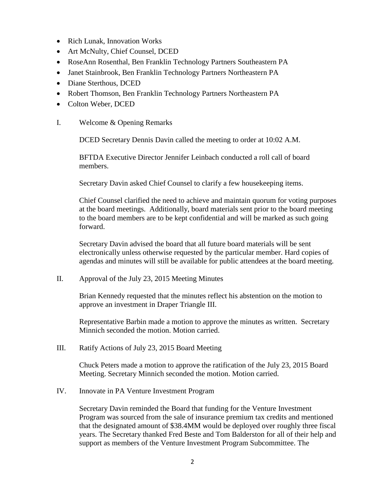- Rich Lunak, Innovation Works
- Art McNulty, Chief Counsel, DCED
- RoseAnn Rosenthal, Ben Franklin Technology Partners Southeastern PA
- Janet Stainbrook, Ben Franklin Technology Partners Northeastern PA
- Diane Sterthous, DCED
- Robert Thomson, Ben Franklin Technology Partners Northeastern PA
- Colton Weber, DCED
- I. Welcome & Opening Remarks

DCED Secretary Dennis Davin called the meeting to order at 10:02 A.M.

BFTDA Executive Director Jennifer Leinbach conducted a roll call of board members.

Secretary Davin asked Chief Counsel to clarify a few housekeeping items.

Chief Counsel clarified the need to achieve and maintain quorum for voting purposes at the board meetings. Additionally, board materials sent prior to the board meeting to the board members are to be kept confidential and will be marked as such going forward.

Secretary Davin advised the board that all future board materials will be sent electronically unless otherwise requested by the particular member. Hard copies of agendas and minutes will still be available for public attendees at the board meeting.

II. Approval of the July 23, 2015 Meeting Minutes

Brian Kennedy requested that the minutes reflect his abstention on the motion to approve an investment in Draper Triangle III.

Representative Barbin made a motion to approve the minutes as written. Secretary Minnich seconded the motion. Motion carried.

III. Ratify Actions of July 23, 2015 Board Meeting

Chuck Peters made a motion to approve the ratification of the July 23, 2015 Board Meeting. Secretary Minnich seconded the motion. Motion carried.

IV. Innovate in PA Venture Investment Program

Secretary Davin reminded the Board that funding for the Venture Investment Program was sourced from the sale of insurance premium tax credits and mentioned that the designated amount of \$38.4MM would be deployed over roughly three fiscal years. The Secretary thanked Fred Beste and Tom Balderston for all of their help and support as members of the Venture Investment Program Subcommittee. The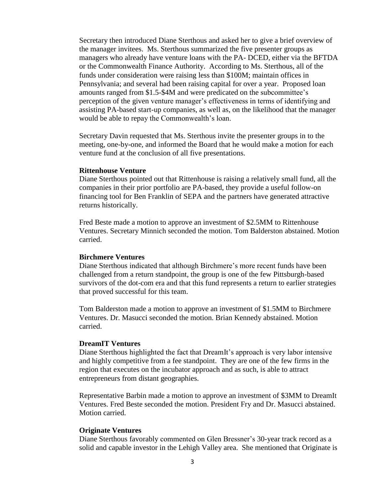Secretary then introduced Diane Sterthous and asked her to give a brief overview of the manager invitees. Ms. Sterthous summarized the five presenter groups as managers who already have venture loans with the PA- DCED, either via the BFTDA or the Commonwealth Finance Authority. According to Ms. Sterthous, all of the funds under consideration were raising less than \$100M; maintain offices in Pennsylvania; and several had been raising capital for over a year. Proposed loan amounts ranged from \$1.5-\$4M and were predicated on the subcommittee's perception of the given venture manager's effectiveness in terms of identifying and assisting PA-based start-up companies, as well as, on the likelihood that the manager would be able to repay the Commonwealth's loan.

Secretary Davin requested that Ms. Sterthous invite the presenter groups in to the meeting, one-by-one, and informed the Board that he would make a motion for each venture fund at the conclusion of all five presentations.

### **Rittenhouse Venture**

Diane Sterthous pointed out that Rittenhouse is raising a relatively small fund, all the companies in their prior portfolio are PA-based, they provide a useful follow-on financing tool for Ben Franklin of SEPA and the partners have generated attractive returns historically.

Fred Beste made a motion to approve an investment of \$2.5MM to Rittenhouse Ventures. Secretary Minnich seconded the motion. Tom Balderston abstained. Motion carried.

#### **Birchmere Ventures**

Diane Sterthous indicated that although Birchmere's more recent funds have been challenged from a return standpoint, the group is one of the few Pittsburgh-based survivors of the dot-com era and that this fund represents a return to earlier strategies that proved successful for this team.

Tom Balderston made a motion to approve an investment of \$1.5MM to Birchmere Ventures. Dr. Masucci seconded the motion. Brian Kennedy abstained. Motion carried.

## **DreamIT Ventures**

Diane Sterthous highlighted the fact that DreamIt's approach is very labor intensive and highly competitive from a fee standpoint. They are one of the few firms in the region that executes on the incubator approach and as such, is able to attract entrepreneurs from distant geographies.

Representative Barbin made a motion to approve an investment of \$3MM to DreamIt Ventures. Fred Beste seconded the motion. President Fry and Dr. Masucci abstained. Motion carried.

#### **Originate Ventures**

Diane Sterthous favorably commented on Glen Bressner's 30-year track record as a solid and capable investor in the Lehigh Valley area. She mentioned that Originate is